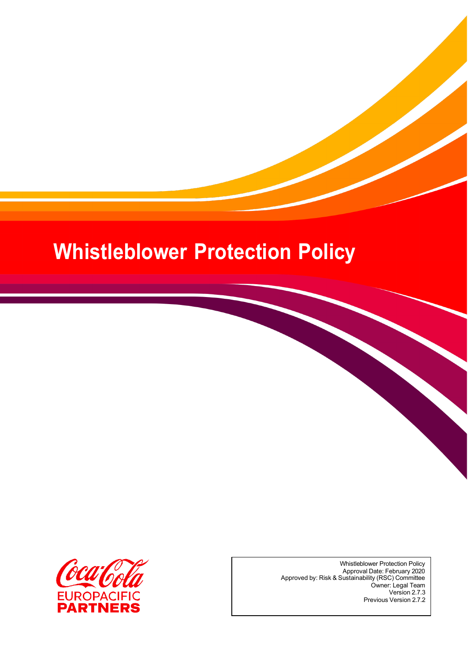# **Whistleblower Protection Policy**



Whistleblower Protection Policy Approval Date: February 2020 Approved by: Risk & Sustainability (RSC) Committee Owner: Legal Team Version 2.7.3 Previous Version 2.7.2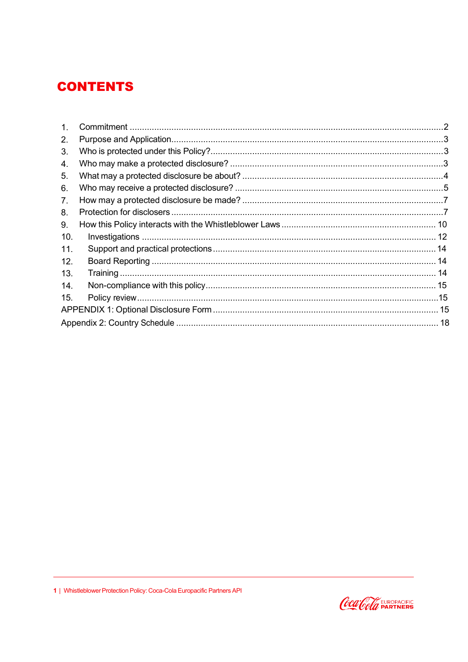### **CONTENTS**

| 1.             |  |  |  |
|----------------|--|--|--|
| 2.             |  |  |  |
| 3.             |  |  |  |
| 4.             |  |  |  |
| 5.             |  |  |  |
| 6.             |  |  |  |
| 7 <sub>1</sub> |  |  |  |
| 8.             |  |  |  |
| 9.             |  |  |  |
| 10.            |  |  |  |
| 11.            |  |  |  |
| 12.            |  |  |  |
| 13.            |  |  |  |
| 14.            |  |  |  |
| 15.            |  |  |  |
|                |  |  |  |
|                |  |  |  |

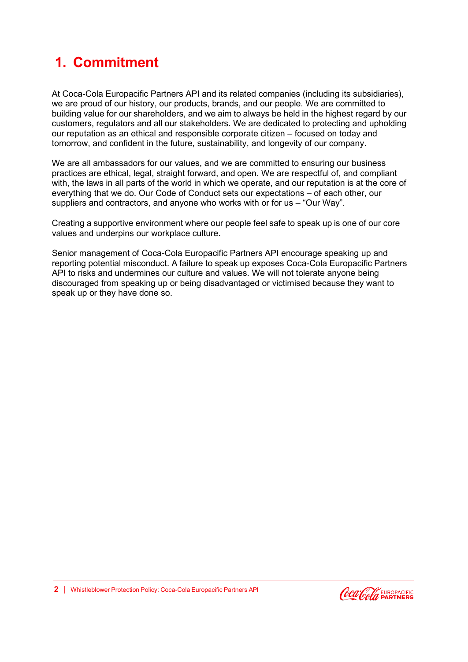# **1. Commitment**

At Coca-Cola Europacific Partners API and its related companies (including its subsidiaries), we are proud of our history, our products, brands, and our people. We are committed to building value for our shareholders, and we aim to always be held in the highest regard by our customers, regulators and all our stakeholders. We are dedicated to protecting and upholding our reputation as an ethical and responsible corporate citizen – focused on today and tomorrow, and confident in the future, sustainability, and longevity of our company.

We are all ambassadors for our values, and we are committed to ensuring our business practices are ethical, legal, straight forward, and open. We are respectful of, and compliant with, the laws in all parts of the world in which we operate, and our reputation is at the core of everything that we do. Our Code of Conduct sets our expectations – of each other, our suppliers and contractors, and anyone who works with or for us – "Our Way".

Creating a supportive environment where our people feel safe to speak up is one of our core values and underpins our workplace culture.

<span id="page-2-0"></span>Senior management of Coca-Cola Europacific Partners API encourage speaking up and reporting potential misconduct. A failure to speak up exposes Coca-Cola Europacific Partners API to risks and undermines our culture and values. We will not tolerate anyone being discouraged from speaking up or being disadvantaged or victimised because they want to speak up or they have done so.

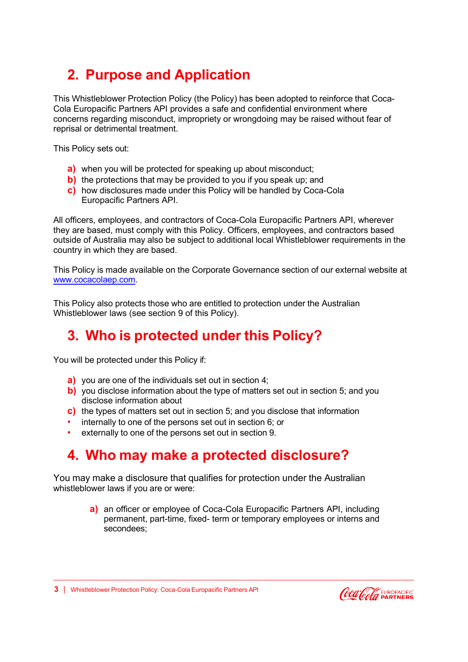# **2. Purpose and Application**

<span id="page-3-0"></span>This Whistleblower Protection Policy (the Policy) has been adopted to reinforce that Coca-Cola Europacific Partners API provides a safe and confidential environment where concerns regarding misconduct, impropriety or wrongdoing may be raised without fear of reprisal or detrimental treatment.

This Policy sets out:

- **a)** when you will be protected for speaking up about misconduct;
- **b)** the protections that may be provided to you if you speak up; and
- **c)** how disclosures made under this Policy will be handled by Coca-Cola Europacific Partners API.

All officers, employees, and contractors of Coca-Cola Europacific Partners API, wherever they are based, must comply with this Policy. Officers, employees, and contractors based outside of Australia may also be subject to additional local Whistleblower requirements in the country in which they are based.

This Policy is made available on the Corporate Governance section of our external website at [www.cocacolaep.com.](http://www.cocacolaep.com/)

<span id="page-3-1"></span>This Policy also protects those who are entitled to protection under the Australian Whistleblower laws (see section 9 of this Policy).

### **3. Who is protected under this Policy?**

You will be protected under this Policy if:

- **a)** you are one of the individuals set out in section 4;
- **b)** you disclose information about the type of matters set out in section 5; and you disclose information about
- **c)** the types of matters set out in section 5; and you disclose that information
- internally to one of the persons set out in section 6; or
- externally to one of the persons set out in section 9.

### <span id="page-3-2"></span>**4. Who may make a protected disclosure?**

You may make a disclosure that qualifies for protection under the Australian whistleblower laws if you are or were:

> **a)** an officer or employee of Coca-Cola Europacific Partners API, including permanent, part-time, fixed- term or temporary employees or interns and secondees;

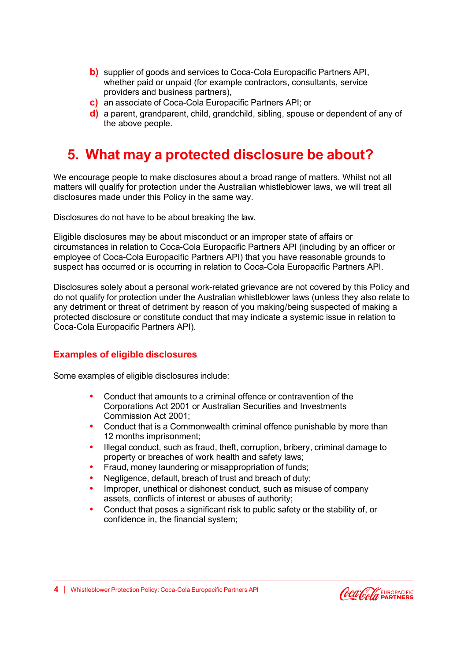- **b)** supplier of goods and services to Coca-Cola Europacific Partners API, whether paid or unpaid (for example contractors, consultants, service providers and business partners),
- **c)** an associate of Coca-Cola Europacific Partners API; or
- **d)** a parent, grandparent, child, grandchild, sibling, spouse or dependent of any of the above people.

### **5. What may a protected disclosure be about?**

<span id="page-4-0"></span>We encourage people to make disclosures about a broad range of matters. Whilst not all matters will qualify for protection under the Australian whistleblower laws, we will treat all disclosures made under this Policy in the same way.

Disclosures do not have to be about breaking the law.

Eligible disclosures may be about misconduct or an improper state of affairs or circumstances in relation to Coca-Cola Europacific Partners API (including by an officer or employee of Coca-Cola Europacific Partners API) that you have reasonable grounds to suspect has occurred or is occurring in relation to Coca-Cola Europacific Partners API.

Disclosures solely about a personal work-related grievance are not covered by this Policy and do not qualify for protection under the Australian whistleblower laws (unless they also relate to any detriment or threat of detriment by reason of you making/being suspected of making a protected disclosure or constitute conduct that may indicate a systemic issue in relation to Coca-Cola Europacific Partners API).

#### **Examples of eligible disclosures**

Some examples of eligible disclosures include:

- **•** Conduct that amounts to a criminal offence or contravention of the Corporations Act 2001 or Australian Securities and Investments Commission Act 2001;
- **•** Conduct that is a Commonwealth criminal offence punishable by more than 12 months imprisonment;
- **•** Illegal conduct, such as fraud, theft, corruption, bribery, criminal damage to property or breaches of work health and safety laws;
- **•** Fraud, money laundering or misappropriation of funds;
- **•** Negligence, default, breach of trust and breach of duty;
- **•** Improper, unethical or dishonest conduct, such as misuse of company assets, conflicts of interest or abuses of authority;
- **•** Conduct that poses a significant risk to public safety or the stability of, or confidence in, the financial system;

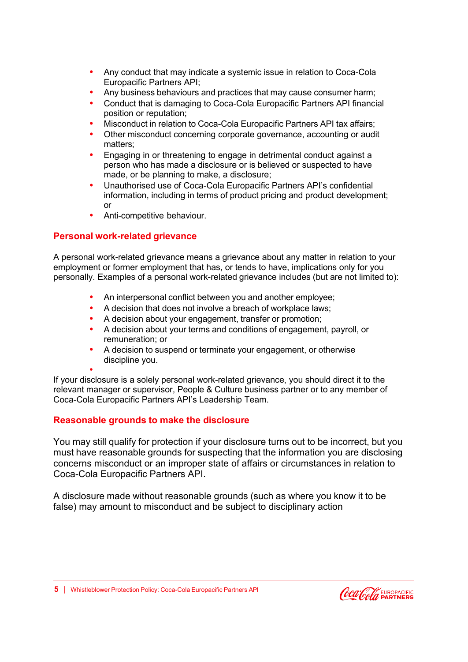- **•** Any conduct that may indicate a systemic issue in relation to Coca-Cola Europacific Partners API;
- **•** Any business behaviours and practices that may cause consumer harm;
- **•** Conduct that is damaging to Coca-Cola Europacific Partners API financial position or reputation;
- **•** Misconduct in relation to Coca-Cola Europacific Partners API tax affairs;
- **•** Other misconduct concerning corporate governance, accounting or audit matters;
- **•** Engaging in or threatening to engage in detrimental conduct against a person who has made a disclosure or is believed or suspected to have made, or be planning to make, a disclosure;
- **•** Unauthorised use of Coca-Cola Europacific Partners API's confidential information, including in terms of product pricing and product development; or
- **•** Anti-competitive behaviour.

### **Personal work-related grievance**

A personal work-related grievance means a grievance about any matter in relation to your employment or former employment that has, or tends to have, implications only for you personally. Examples of a personal work-related grievance includes (but are not limited to):

- **•** An interpersonal conflict between you and another employee;
- **•** A decision that does not involve a breach of workplace laws;
- **•** A decision about your engagement, transfer or promotion;
- **•** A decision about your terms and conditions of engagement, payroll, or remuneration; or
- **•** A decision to suspend or terminate your engagement, or otherwise discipline you.

**•**

If your disclosure is a solely personal work-related grievance, you should direct it to the relevant manager or supervisor, People & Culture business partner or to any member of Coca-Cola Europacific Partners API's Leadership Team.

### **Reasonable grounds to make the disclosure**

You may still qualify for protection if your disclosure turns out to be incorrect, but you must have reasonable grounds for suspecting that the information you are disclosing concerns misconduct or an improper state of affairs or circumstances in relation to Coca-Cola Europacific Partners API.

<span id="page-5-0"></span>A disclosure made without reasonable grounds (such as where you know it to be false) may amount to misconduct and be subject to disciplinary action

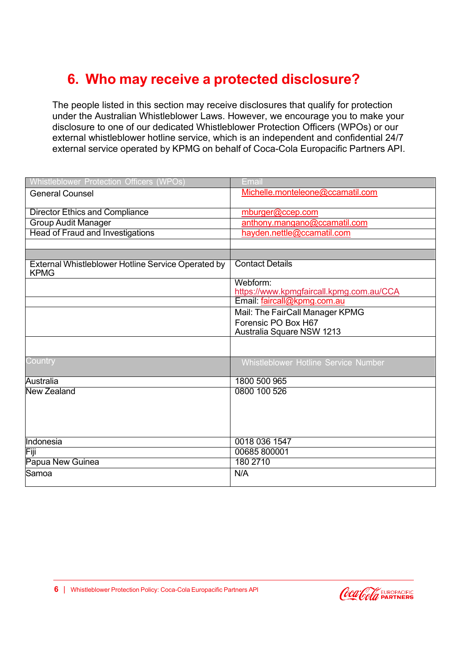# **6. Who may receive a protected disclosure?**

The people listed in this section may receive disclosures that qualify for protection under the Australian Whistleblower Laws. However, we encourage you to make your disclosure to one of our dedicated Whistleblower Protection Officers (WPOs) or our external whistleblower hotline service, which is an independent and confidential 24/7 external service operated by KPMG on behalf of Coca-Cola Europacific Partners API.

| Whistleblower Protection Officers (WPOs)                          | Email                                    |
|-------------------------------------------------------------------|------------------------------------------|
| <b>General Counsel</b>                                            | Michelle.monteleone@ccamatil.com         |
|                                                                   |                                          |
| <b>Director Ethics and Compliance</b>                             | mburger@ccep.com                         |
| <b>Group Audit Manager</b>                                        | anthony.mangano@ccamatil.com             |
| <b>Head of Fraud and Investigations</b>                           | hayden.nettle@ccamatil.com               |
|                                                                   |                                          |
|                                                                   |                                          |
| External Whistleblower Hotline Service Operated by<br><b>KPMG</b> | <b>Contact Details</b>                   |
|                                                                   | Webform:                                 |
|                                                                   | https://www.kpmgfaircall.kpmg.com.au/CCA |
|                                                                   | Email: faircall@kpmg.com.au              |
|                                                                   | Mail: The FairCall Manager KPMG          |
|                                                                   | Forensic PO Box H67                      |
|                                                                   | Australia Square NSW 1213                |
|                                                                   |                                          |
| Country                                                           | Whistleblower Hotline Service Number     |
| Australia                                                         | 1800 500 965                             |
| <b>New Zealand</b>                                                | 0800 100 526                             |
|                                                                   |                                          |
|                                                                   |                                          |
|                                                                   |                                          |
|                                                                   |                                          |
| Indonesia                                                         | 0018 036 1547                            |
| Fiji                                                              | 00685800001                              |
| Papua New Guinea                                                  | 180 2710                                 |
| Samoa                                                             | N/A                                      |
|                                                                   |                                          |

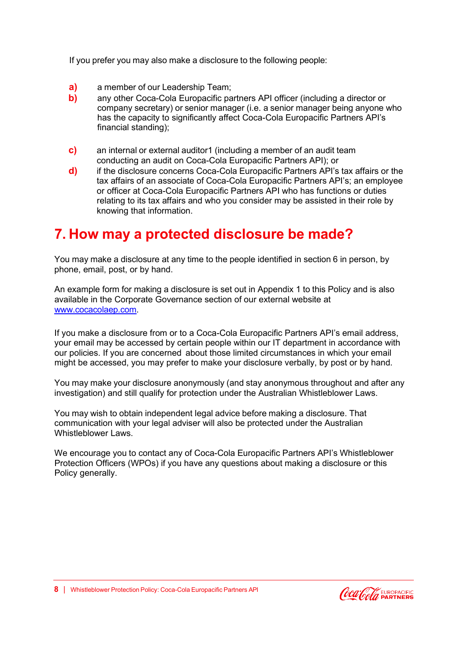If you prefer you may also make a disclosure to the following people:

- **a)** a member of our Leadership Team;
- **b)** any other Coca-Cola Europacific partners API officer (including a director or company secretary) or senior manager (i.e. a senior manager being anyone who has the capacity to significantly affect Coca-Cola Europacific Partners API's financial standing);
- <span id="page-7-0"></span>**c)** an internal or external auditor1 (including a member of an audit team conducting an audit on Coca-Cola Europacific Partners API); or
- **d)** if the disclosure concerns Coca-Cola Europacific Partners API's tax affairs or the tax affairs of an associate of Coca-Cola Europacific Partners API's; an employee or officer at Coca-Cola Europacific Partners API who has functions or duties relating to its tax affairs and who you consider may be assisted in their role by knowing that information.

### **7. [How](http://www.cocacolaep.com/) may a protected disclosure be made?**

You may make a disclosure at any time to the people identified in section 6 in person, by phone, email, post, or by hand.

An example form for making a disclosure is set out in Appendix 1 to this Policy and is also available in the Corporate Governance section of our external website at [www.cocacolaep.com.](http://www.cocacolaep.com/)

If you make a disclosure from or to a Coca-Cola Europacific Partners API's email address, your email may be accessed by certain people within our IT department in accordance with our policies. If you are concerned about those limited circumstances in which your email might be accessed, you may prefer to make your disclosure verbally, by post or by hand.

You may make your disclosure anonymously (and stay anonymous throughout and after any investigation) and still qualify for protection under the Australian Whistleblower Laws.

You may wish to obtain independent legal advice before making a disclosure. That communication with your legal adviser will also be protected under the Australian Whistleblower Laws.

We encourage you to contact any of Coca-Cola Europacific Partners API's Whistleblower Protection Officers (WPOs) if you have any questions about making a disclosure or this Policy generally.

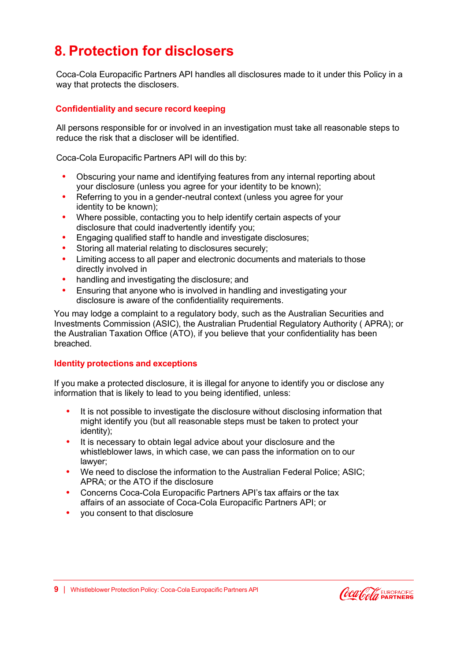# **8. Protection for disclosers**

<span id="page-8-0"></span>Coca-Cola Europacific Partners API handles all disclosures made to it under this Policy in a way that protects the disclosers.

#### **Confidentiality and secure record keeping**

All persons responsible for or involved in an investigation must take all reasonable steps to reduce the risk that a discloser will be identified.

Coca-Cola Europacific Partners API will do this by:

- **•** Obscuring your name and identifying features from any internal reporting about your disclosure (unless you agree for your identity to be known);
- **•** Referring to you in a gender-neutral context (unless you agree for your identity to be known);
- **•** Where possible, contacting you to help identify certain aspects of your disclosure that could inadvertently identify you;
- **•** Engaging qualified staff to handle and investigate disclosures;
- **•** Storing all material relating to disclosures securely;
- **•** Limiting access to all paper and electronic documents and materials to those directly involved in
- **•** handling and investigating the disclosure; and
- **•** Ensuring that anyone who is involved in handling and investigating your disclosure is aware of the confidentiality requirements.

You may lodge a complaint to a regulatory body, such as the Australian Securities and Investments Commission (ASIC), the Australian Prudential Regulatory Authority ( APRA); or the Australian Taxation Office (ATO), if you believe that your confidentiality has been breached.

#### **Identity protections and exceptions**

If you make a protected disclosure, it is illegal for anyone to identify you or disclose any information that is likely to lead to you being identified, unless:

- **•** It is not possible to investigate the disclosure without disclosing information that might identify you (but all reasonable steps must be taken to protect your identity);
- **•** It is necessary to obtain legal advice about your disclosure and the whistleblower laws, in which case, we can pass the information on to our lawyer;
- **•** We need to disclose the information to the Australian Federal Police; ASIC; APRA; or the ATO if the disclosure
- **•** Concerns Coca-Cola Europacific Partners API's tax affairs or the tax affairs of an associate of Coca-Cola Europacific Partners API; or
- **•** you consent to that disclosure

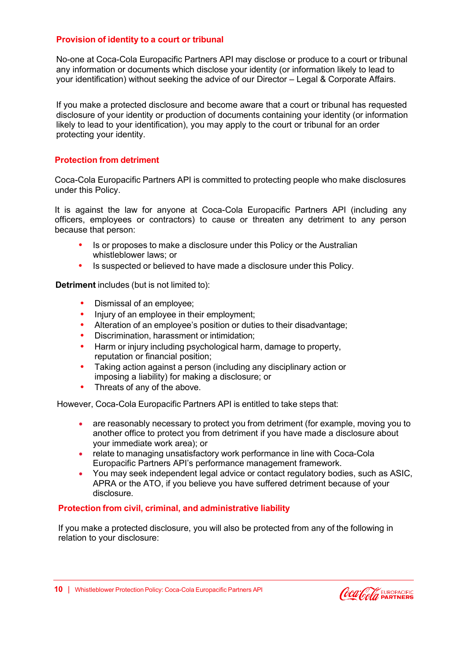#### **Provision of identity to a court or tribunal**

No-one at Coca-Cola Europacific Partners API may disclose or produce to a court or tribunal any information or documents which disclose your identity (or information likely to lead to your identification) without seeking the advice of our Director – Legal & Corporate Affairs.

If you make a protected disclosure and become aware that a court or tribunal has requested disclosure of your identity or production of documents containing your identity (or information likely to lead to your identification), you may apply to the court or tribunal for an order protecting your identity.

#### **Protection from detriment**

Coca-Cola Europacific Partners API is committed to protecting people who make disclosures under this Policy.

It is against the law for anyone at Coca-Cola Europacific Partners API (including any officers, employees or contractors) to cause or threaten any detriment to any person because that person:

- **•** Is or proposes to make a disclosure under this Policy or the Australian whistleblower laws; or
- **•** Is suspected or believed to have made a disclosure under this Policy.

**Detriment** includes (but is not limited to):

- **•** Dismissal of an employee;
- **•** Injury of an employee in their employment;
- **•** Alteration of an employee's position or duties to their disadvantage;
- **•** Discrimination, harassment or intimidation;
- **•** Harm or injury including psychological harm, damage to property, reputation or financial position;
- **•** Taking action against a person (including any disciplinary action or imposing a liability) for making a disclosure; or
- **•** Threats of any of the above.

However, Coca-Cola Europacific Partners API is entitled to take steps that:

- are reasonably necessary to protect you from detriment (for example, moving you to another office to protect you from detriment if you have made a disclosure about your immediate work area); or
- relate to managing unsatisfactory work performance in line with Coca-Cola Europacific Partners API's performance management framework.
- You may seek independent legal advice or contact regulatory bodies, such as ASIC, APRA or the ATO, if you believe you have suffered detriment because of your disclosure.

#### **Protection from civil, criminal, and administrative liability**

If you make a protected disclosure, you will also be protected from any of the following in relation to your disclosure:

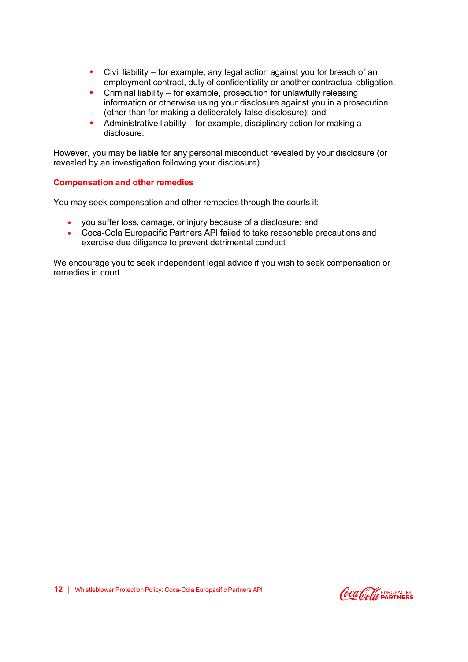- <span id="page-10-0"></span>**•** Civil liability – for example, any legal action against you for breach of an employment contract, duty of confidentiality or another contractual obligation.
- **•** Criminal liability for example, prosecution for unlawfully releasing information or otherwise using your disclosure against you in a prosecution (other than for making a deliberately false disclosure); and
- **•** Administrative liability for example, disciplinary action for making a disclosure.

However, you may be liable for any personal misconduct revealed by your disclosure (or revealed by an investigation following your disclosure).

#### **Compensation and other remedies**

You may seek compensation and other remedies through the courts if:

- you suffer loss, damage, or injury because of a disclosure; and
- Coca-Cola Europacific Partners API failed to take reasonable precautions and exercise due diligence to prevent detrimental conduct

We encourage you to seek independent legal advice if you wish to seek compensation or remedies in court.

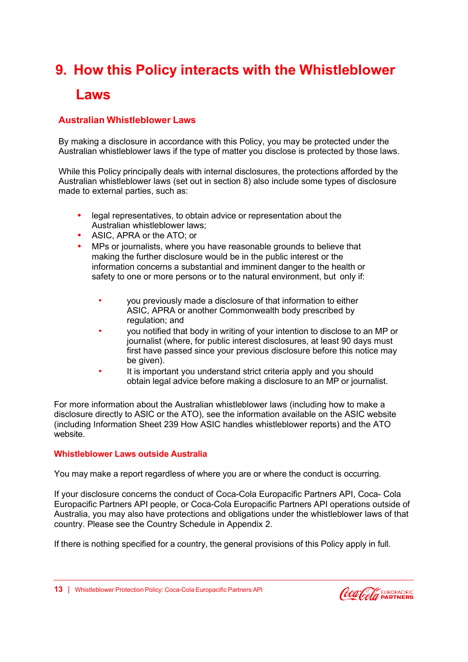# **9. How this Policy interacts with the Whistleblower**

### **Laws**

### **Australian Whistleblower Laws**

By making a disclosure in accordance with this Policy, you may be protected under the Australian whistleblower laws if the type of matter you disclose is protected by those laws.

While this Policy principally deals with internal disclosures, the protections afforded by the Australian whistleblower laws (set out in section 8) also include some types of disclosure made to external parties, such as:

- **•** legal representatives, to obtain advice or representation about the Australian whistleblower laws;
- **•** ASIC, APRA or the ATO; or
- **•** MPs or journalists, where you have reasonable grounds to believe that making the further disclosure would be in the public interest or the information concerns a substantial and imminent danger to the health or safety to one or more persons or to the natural environment, but only if:
	- you previously made a disclosure of that information to either ASIC, APRA or another Commonwealth body prescribed by regulation; and
	- you notified that body in writing of your intention to disclose to an MP or journalist (where, for public interest disclosures, at least 90 days must first have passed since your previous disclosure before this notice may be given).
	- It is important you understand strict criteria apply and you should obtain legal advice before making a disclosure to an MP or journalist.

For more information about the Australian whistleblower laws (including how to make a disclosure directly to ASIC or the ATO), see the information available on the ASIC website (including Information Sheet 239 How ASIC handles whistleblower reports) and the ATO website.

#### **Whistleblower Laws outside Australia**

You may make a report regardless of where you are or where the conduct is occurring.

If your disclosure concerns the conduct of Coca-Cola Europacific Partners API, Coca- Cola Europacific Partners API people, or Coca-Cola Europacific Partners API operations outside of Australia, you may also have protections and obligations under the whistleblower laws of that country. Please see the Country Schedule in Appendix 2.

If there is nothing specified for a country, the general provisions of this Policy apply in full.

**13** | Whistleblower Protection Policy: Coca-Cola Europacific Partners API

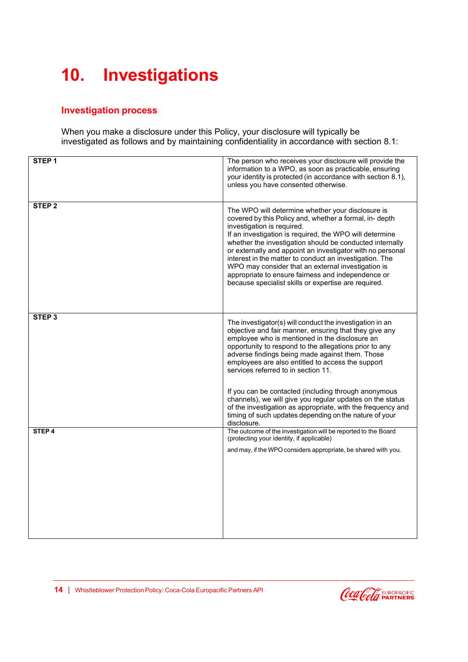# <span id="page-12-0"></span>**10. Investigations**

### **Investigation process**

When you make a disclosure under this Policy, your disclosure will typically be investigated as follows and by maintaining confidentiality in accordance with section 8.1:

| STEP <sub>1</sub> | The person who receives your disclosure will provide the                                                                                                                                                                                                                                                                                                                                                                                                                                                                                                       |
|-------------------|----------------------------------------------------------------------------------------------------------------------------------------------------------------------------------------------------------------------------------------------------------------------------------------------------------------------------------------------------------------------------------------------------------------------------------------------------------------------------------------------------------------------------------------------------------------|
|                   | information to a WPO, as soon as practicable, ensuring<br>your identity is protected (in accordance with section 8.1),                                                                                                                                                                                                                                                                                                                                                                                                                                         |
|                   | unless you have consented otherwise.                                                                                                                                                                                                                                                                                                                                                                                                                                                                                                                           |
|                   |                                                                                                                                                                                                                                                                                                                                                                                                                                                                                                                                                                |
| STEP <sub>2</sub> | The WPO will determine whether your disclosure is<br>covered by this Policy and, whether a formal, in- depth<br>investigation is required.<br>If an investigation is required, the WPO will determine<br>whether the investigation should be conducted internally<br>or externally and appoint an investigator with no personal<br>interest in the matter to conduct an investigation. The<br>WPO may consider that an external investigation is<br>appropriate to ensure fairness and independence or<br>because specialist skills or expertise are required. |
| STEP <sub>3</sub> | The investigator(s) will conduct the investigation in an<br>objective and fair manner, ensuring that they give any<br>employee who is mentioned in the disclosure an                                                                                                                                                                                                                                                                                                                                                                                           |
|                   | opportunity to respond to the allegations prior to any<br>adverse findings being made against them. Those<br>employees are also entitled to access the support<br>services referred to in section 11.                                                                                                                                                                                                                                                                                                                                                          |
|                   | If you can be contacted (including through anonymous<br>channels), we will give you regular updates on the status<br>of the investigation as appropriate, with the frequency and<br>timing of such updates depending on the nature of your<br>disclosure.                                                                                                                                                                                                                                                                                                      |
| STEP <sub>4</sub> | The outcome of the investigation will be reported to the Board<br>(protecting your identity, if applicable)                                                                                                                                                                                                                                                                                                                                                                                                                                                    |
|                   | and may, if the WPO considers appropriate, be shared with you.                                                                                                                                                                                                                                                                                                                                                                                                                                                                                                 |
|                   |                                                                                                                                                                                                                                                                                                                                                                                                                                                                                                                                                                |
|                   |                                                                                                                                                                                                                                                                                                                                                                                                                                                                                                                                                                |
|                   |                                                                                                                                                                                                                                                                                                                                                                                                                                                                                                                                                                |
|                   |                                                                                                                                                                                                                                                                                                                                                                                                                                                                                                                                                                |
|                   |                                                                                                                                                                                                                                                                                                                                                                                                                                                                                                                                                                |
|                   |                                                                                                                                                                                                                                                                                                                                                                                                                                                                                                                                                                |

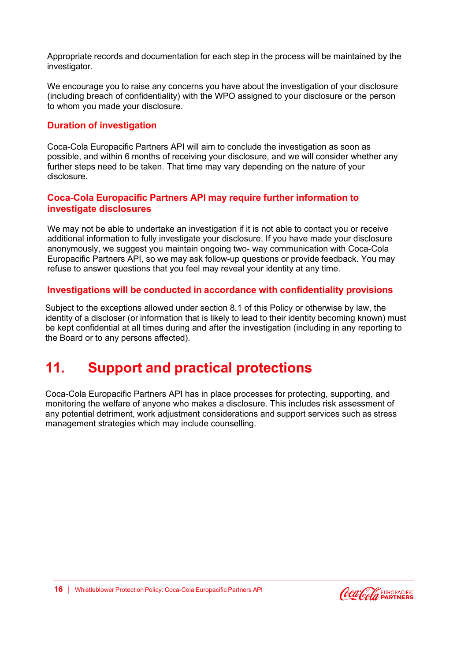Appropriate records and documentation for each step in the process will be maintained by the investigator.

We encourage you to raise any concerns you have about the investigation of your disclosure (including breach of confidentiality) with the WPO assigned to your disclosure or the person to whom you made your disclosure.

### **Duration of investigation**

Coca-Cola Europacific Partners API will aim to conclude the investigation as soon as possible, and within 6 months of receiving your disclosure, and we will consider whether any further steps need to be taken. That time may vary depending on the nature of your disclosure.

### **Coca-Cola Europacific Partners API may require further information to investigate disclosures**

We may not be able to undertake an investigation if it is not able to contact you or receive additional information to fully investigate your disclosure. If you have made your disclosure anonymously, we suggest you maintain ongoing two- way communication with Coca-Cola Europacific Partners API, so we may ask follow-up questions or provide feedback. You may refuse to answer questions that you feel may reveal your identity at any time.

#### **Investigations will be conducted in accordance with confidentiality provisions**

Subject to the exceptions allowed under section 8.1 of this Policy or otherwise by law, the identity of a discloser (or information that is likely to lead to their identity becoming known) must be kept confidential at all times during and after the investigation (including in any reporting to the Board or to any persons affected).

### **11. Support and practical protections**

Coca-Cola Europacific Partners API has in place processes for protecting, supporting, and monitoring the welfare of anyone who makes a disclosure. This includes risk assessment of any potential detriment, work adjustment considerations and support services such as stress management strategies which may include counselling.

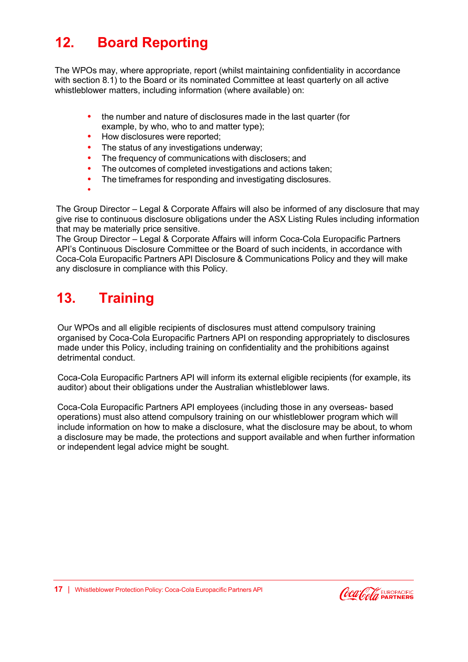# **12. Board Reporting**

<span id="page-14-0"></span>The WPOs may, where appropriate, report (whilst maintaining confidentiality in accordance with section 8.1) to the Board or its nominated Committee at least quarterly on all active whistleblower matters, including information (where available) on:

- **•** the number and nature of disclosures made in the last quarter (for example, by who, who to and matter type);
- **•** How disclosures were reported;
- **•** The status of any investigations underway;
- **•** The frequency of communications with disclosers; and
- **•** The outcomes of completed investigations and actions taken;
- **•** The timeframes for responding and investigating disclosures.
- **•**

<span id="page-14-1"></span>The Group Director – Legal & Corporate Affairs will also be informed of any disclosure that may give rise to continuous disclosure obligations under the ASX Listing Rules including information that may be materially price sensitive.

The Group Director – Legal & Corporate Affairs will inform Coca-Cola Europacific Partners API's Continuous Disclosure Committee or the Board of such incidents, in accordance with Coca-Cola Europacific Partners API Disclosure & Communications Policy and they will make any disclosure in compliance with this Policy.

# **13. Training**

Our WPOs and all eligible recipients of disclosures must attend compulsory training organised by Coca-Cola Europacific Partners API on responding appropriately to disclosures made under this Policy, including training on confidentiality and the prohibitions against detrimental conduct.

Coca-Cola Europacific Partners API will inform its external eligible recipients (for example, its auditor) about their obligations under the Australian whistleblower laws.

<span id="page-14-2"></span>Coca-Cola Europacific Partners API employees (including those in any overseas- based operations) must also attend compulsory training on our whistleblower program which will include information on how to make a disclosure, what the disclosure may be about, to whom a disclosure may be made, the protections and support available and when further information or independent legal advice might be sought.

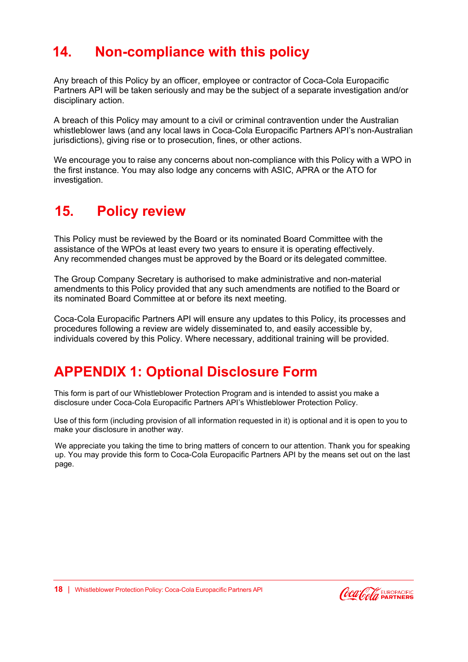# **14. Non-compliance with this policy**

Any breach of this Policy by an officer, employee or contractor of Coca-Cola Europacific Partners API will be taken seriously and may be the subject of a separate investigation and/or disciplinary action.

<span id="page-15-0"></span>A breach of this Policy may amount to a civil or criminal contravention under the Australian whistleblower laws (and any local laws in Coca-Cola Europacific Partners API's non-Australian jurisdictions), giving rise or to prosecution, fines, or other actions.

We encourage you to raise any concerns about non-compliance with this Policy with a WPO in the first instance. You may also lodge any concerns with ASIC, APRA or the ATO for investigation.

### **15. Policy review**

This Policy must be reviewed by the Board or its nominated Board Committee with the assistance of the WPOs at least every two years to ensure it is operating effectively. Any recommended changes must be approved by the Board or its delegated committee.

<span id="page-15-1"></span>The Group Company Secretary is authorised to make administrative and non-material amendments to this Policy provided that any such amendments are notified to the Board or its nominated Board Committee at or before its next meeting.

Coca-Cola Europacific Partners API will ensure any updates to this Policy, its processes and procedures following a review are widely disseminated to, and easily accessible by, individuals covered by this Policy. Where necessary, additional training will be provided.

### **APPENDIX 1: Optional Disclosure Form**

This form is part of our Whistleblower Protection Program and is intended to assist you make a disclosure under Coca-Cola Europacific Partners API's Whistleblower Protection Policy.

Use of this form (including provision of all information requested in it) is optional and it is open to you to make your disclosure in another way.

<span id="page-15-2"></span>We appreciate you taking the time to bring matters of concern to our attention. Thank you for speaking up. You may provide this form to Coca-Cola Europacific Partners API by the means set out on the last page.

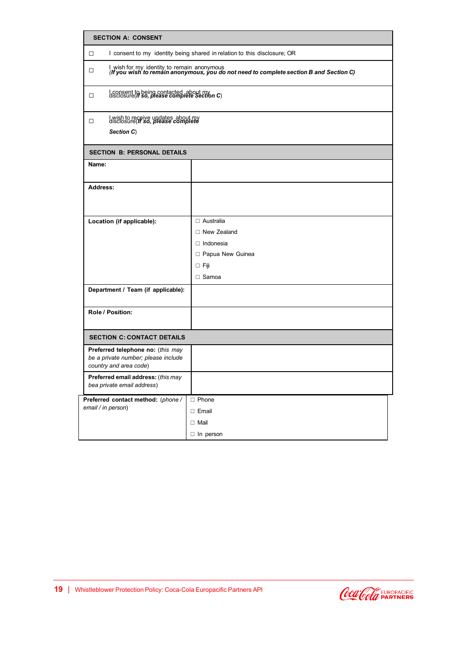| <b>SECTION A: CONSENT</b>                                                                          |                                                                                                                                              |  |  |  |
|----------------------------------------------------------------------------------------------------|----------------------------------------------------------------------------------------------------------------------------------------------|--|--|--|
| $\Box$                                                                                             | I consent to my identity being shared in relation to this disclosure; OR                                                                     |  |  |  |
| $\Box$                                                                                             | l wish for my identity to remain anonymous<br>( <b>If you wish to remain anonymous, you do not need to complete section B and Section C)</b> |  |  |  |
| $\Box$                                                                                             | I consent to being contacted about my<br>disclosure( <i>If so, please complete Section C</i> )                                               |  |  |  |
| $\Box$<br>Section C)                                                                               | I wish to receive updates about my<br>disclosure( <i>If so, please complete</i>                                                              |  |  |  |
| <b>SECTION B: PERSONAL DETAILS</b>                                                                 |                                                                                                                                              |  |  |  |
| Name:                                                                                              |                                                                                                                                              |  |  |  |
| Address:                                                                                           |                                                                                                                                              |  |  |  |
| Location (if applicable):                                                                          | $\Box$ Australia<br>□ New Zealand<br>$\Box$ Indonesia<br>□ Papua New Guinea<br>$\Box$ Fiji<br>$\Box$ Samoa                                   |  |  |  |
| Department / Team (if applicable):                                                                 |                                                                                                                                              |  |  |  |
| Role / Position:                                                                                   |                                                                                                                                              |  |  |  |
| <b>SECTION C: CONTACT DETAILS</b>                                                                  |                                                                                                                                              |  |  |  |
| Preferred telephone no: (this may<br>be a private number; please include<br>country and area code) |                                                                                                                                              |  |  |  |
| Preferred email address: (this may<br>bea private email address)                                   |                                                                                                                                              |  |  |  |
| Preferred contact method: (phone /<br>email / in person)                                           | $\Box$ Phone<br>$\Box$ Email<br>$\Box$ Mail<br>$\Box$ In person                                                                              |  |  |  |

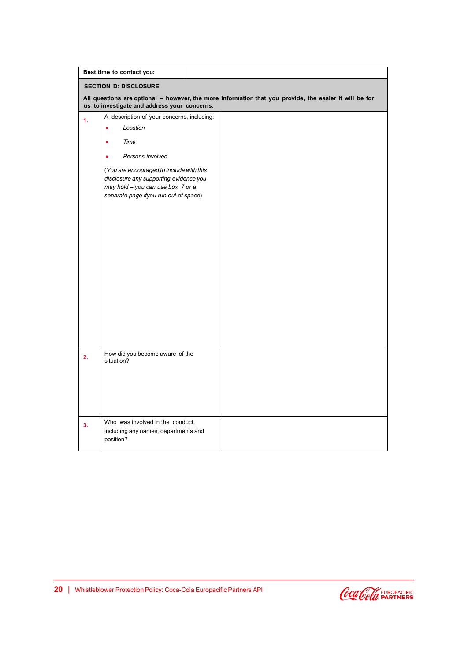|                              | Best time to contact you:                                                                                                                                        |  |  |  |
|------------------------------|------------------------------------------------------------------------------------------------------------------------------------------------------------------|--|--|--|
| <b>SECTION D: DISCLOSURE</b> |                                                                                                                                                                  |  |  |  |
|                              | All questions are optional - however, the more information that you provide, the easier it will be for<br>us to investigate and address your concerns.           |  |  |  |
| 1 <sub>1</sub>               | A description of your concerns, including:                                                                                                                       |  |  |  |
|                              | Location                                                                                                                                                         |  |  |  |
|                              | Time                                                                                                                                                             |  |  |  |
|                              | Persons involved                                                                                                                                                 |  |  |  |
|                              | (You are encouraged to include with this<br>disclosure any supporting evidence you<br>may hold - you can use box 7 or a<br>separate page ifyou run out of space) |  |  |  |
| 2.                           | How did you become aware of the<br>situation?                                                                                                                    |  |  |  |
|                              |                                                                                                                                                                  |  |  |  |
| 3.                           | Who was involved in the conduct,<br>including any names, departments and<br>position?                                                                            |  |  |  |

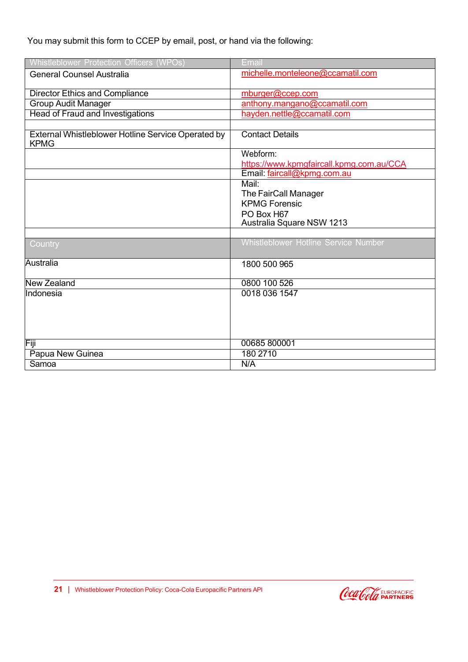### You may submit this form to CCEP by email, post, or hand via the following:

| Whistleblower Protection Officers (WPOs)                          | Email                                       |
|-------------------------------------------------------------------|---------------------------------------------|
| <b>General Counsel Australia</b>                                  | michelle.monteleone@ccamatil.com            |
| <b>Director Ethics and Compliance</b>                             | mburger@ccep.com                            |
| <b>Group Audit Manager</b>                                        | anthony.mangano@ccamatil.com                |
| <b>Head of Fraud and Investigations</b>                           | hayden.nettle@ccamatil.com                  |
|                                                                   |                                             |
| External Whistleblower Hotline Service Operated by<br><b>KPMG</b> | <b>Contact Details</b>                      |
|                                                                   | Webform:                                    |
|                                                                   | https://www.kpmgfaircall.kpmg.com.au/CCA    |
|                                                                   | Email: faircall@kpmg.com.au                 |
|                                                                   | Mail:                                       |
|                                                                   | The FairCall Manager                        |
|                                                                   | <b>KPMG Forensic</b>                        |
|                                                                   | PO Box H67                                  |
|                                                                   | Australia Square NSW 1213                   |
|                                                                   |                                             |
| Country                                                           | <b>Whistleblower Hotline Service Number</b> |
| Australia                                                         | 1800 500 965                                |
| New Zealand                                                       | 0800 100 526                                |
| Indonesia                                                         | 0018 036 1547                               |
|                                                                   |                                             |
|                                                                   |                                             |
| Fiji                                                              | 00685 800001                                |
| Papua New Guinea                                                  | 180 2710                                    |
| Samoa                                                             | N/A                                         |

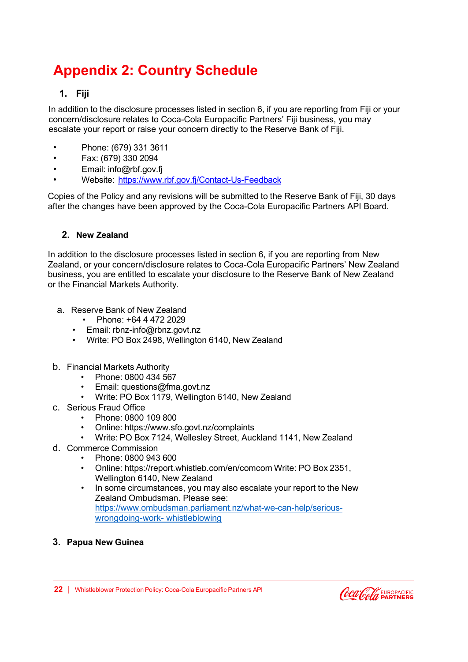# <span id="page-19-0"></span>**Appendix 2: Country Schedule**

### **1. Fiji**

In addition to the disclosure processes listed in section 6, if you are reporting from Fiji or your concern/disclosure relates to Coca-Cola Europacific Partners' Fiji business, you may escalate your report or raise your concern directly to the Reserve Bank of Fiji.

- Phone: (679) 331 3611
- Fax: (679) 330 2094
- Email: [info@rbf.gov.fj](mailto:info@rbf.gov.fj)
- Website: http[s://www.rbf.gov.fj/Contact-Us-Feedback](http://www.rbf.gov.fj/Contact-Us-Feedback)

Copies of the Policy and any revisions will be submitted to the Reserve Bank of Fiji, 30 days after the changes have been approved by the Coca-Cola Europacific Partners API Board.

### **2. New Zealand**

In addition to the disclosure processes listed in section 6, if you are reporting from New Zealand, or your concern/disclosure relates to Coca-Cola Europacific Partners' New Zealand business, you are entitled to escalate your disclosure to the Reserve Bank of New Zealand or the Financial Markets Authority.

- a. Reserve Bank of New Zealand
	- Phone: +64 4 472 2029
	- Email: [rbnz-info@rbnz.govt.nz](mailto:rbnz-info@rbnz.govt.nz)
	- Write: PO Box 2498, Wellington 6140, New Zealand
- b. Financial Markets Authority
	- Phone: 0800 434 567
	- Email: [questions@fma.govt.nz](mailto:questions@fma.govt.nz)
	- Write: PO Box 1179, Wellington 6140, New Zealand
- c. Serious Fraud Office
	- Phone: 0800 109 800
	- Online: http[s://www.sfo.govt.nz/complaints](http://www.sfo.govt.nz/complaints)
	- Write: PO Box 7124, Wellesley Street, Auckland 1141, New Zealand
- d. Commerce Commission
	- Phone: 0800 943 600
	- Online: https://report.whistleb.com/en/comcom Write: PO Box 2351, Wellington 6140, New Zealand
	- In some circumstances, you may also escalate your report to the New Zealand Ombudsman. Please see: https:/[/www.ombudsman.parliament.nz/what-we-can-help/serious](http://www.ombudsman.parliament.nz/what-we-can-help/serious-)wrongdoing-work- whistleblowing
- **3. Papua New Guinea**